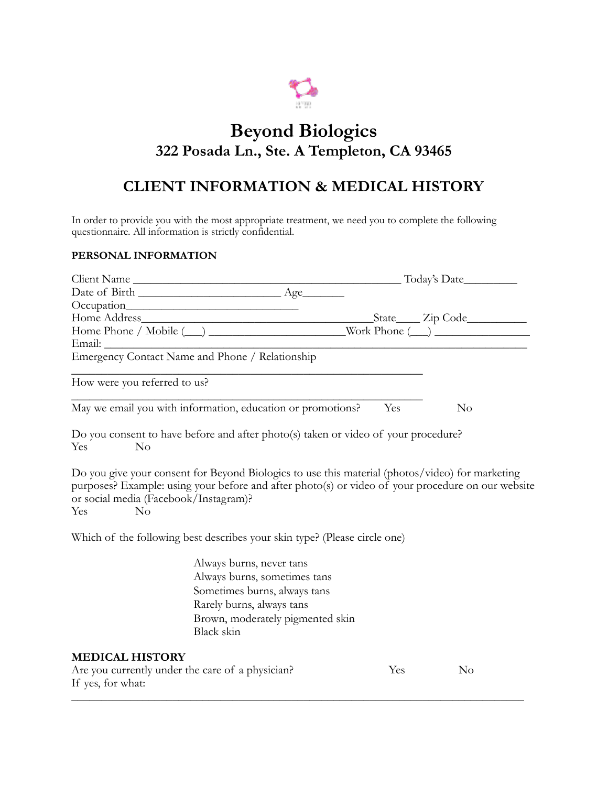

## **Beyond Biologics 322 Posada Ln., Ste. A Templeton, CA 93465**

## **CLIENT INFORMATION & MEDICAL HISTORY**

In order to provide you with the most appropriate treatment, we need you to complete the following questionnaire. All information is strictly confidential.

## **PERSONAL INFORMATION**

| Client Name                                                           |                                                                                                                                                                                                      |     |          |  |  |
|-----------------------------------------------------------------------|------------------------------------------------------------------------------------------------------------------------------------------------------------------------------------------------------|-----|----------|--|--|
|                                                                       |                                                                                                                                                                                                      |     |          |  |  |
|                                                                       |                                                                                                                                                                                                      |     |          |  |  |
|                                                                       |                                                                                                                                                                                                      |     |          |  |  |
|                                                                       |                                                                                                                                                                                                      |     |          |  |  |
| Email:                                                                |                                                                                                                                                                                                      |     |          |  |  |
|                                                                       |                                                                                                                                                                                                      |     |          |  |  |
| How were you referred to us?                                          |                                                                                                                                                                                                      |     |          |  |  |
|                                                                       | May we email you with information, education or promotions?                                                                                                                                          | Yes | $\rm No$ |  |  |
| No<br>Yes                                                             | Do you consent to have before and after photo(s) taken or video of your procedure?                                                                                                                   |     |          |  |  |
| or social media (Facebook/Instagram)?<br>No<br>Yes                    | Do you give your consent for Beyond Biologics to use this material (photos/video) for marketing<br>purposes? Example: using your before and after photo(s) or video of your procedure on our website |     |          |  |  |
|                                                                       | Which of the following best describes your skin type? (Please circle one)                                                                                                                            |     |          |  |  |
|                                                                       | Always burns, never tans                                                                                                                                                                             |     |          |  |  |
|                                                                       | Always burns, sometimes tans                                                                                                                                                                         |     |          |  |  |
|                                                                       | Sometimes burns, always tans                                                                                                                                                                         |     |          |  |  |
|                                                                       | Rarely burns, always tans                                                                                                                                                                            |     |          |  |  |
|                                                                       | Brown, moderately pigmented skin                                                                                                                                                                     |     |          |  |  |
|                                                                       | Black skin                                                                                                                                                                                           |     |          |  |  |
| <b>MEDICAL HISTORY</b>                                                |                                                                                                                                                                                                      |     |          |  |  |
| Are you currently under the care of a physician?<br>If yes, for what: |                                                                                                                                                                                                      | Yes | $\rm No$ |  |  |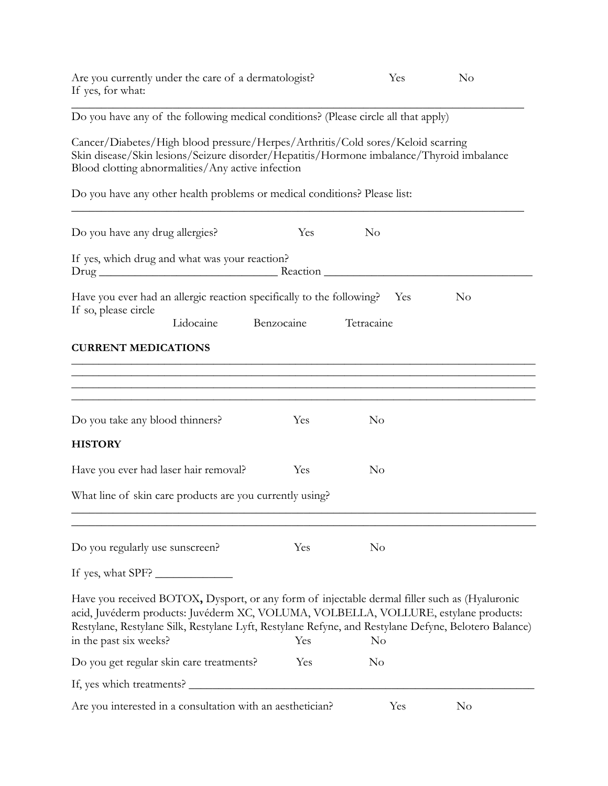| Are you currently under the care of a dermatologist?<br>If yes, for what:                                                                                                                                                                                                                                              |            | Yes            | No  |                |
|------------------------------------------------------------------------------------------------------------------------------------------------------------------------------------------------------------------------------------------------------------------------------------------------------------------------|------------|----------------|-----|----------------|
| Do you have any of the following medical conditions? (Please circle all that apply)                                                                                                                                                                                                                                    |            |                |     |                |
| Cancer/Diabetes/High blood pressure/Herpes/Arthritis/Cold sores/Keloid scarring<br>Skin disease/Skin lesions/Seizure disorder/Hepatitis/Hormone imbalance/Thyroid imbalance<br>Blood clotting abnormalities/Any active infection                                                                                       |            |                |     |                |
| Do you have any other health problems or medical conditions? Please list:                                                                                                                                                                                                                                              |            |                |     |                |
| Do you have any drug allergies?                                                                                                                                                                                                                                                                                        | Yes        | N <sub>o</sub> |     |                |
| If yes, which drug and what was your reaction?                                                                                                                                                                                                                                                                         |            |                |     |                |
| Have you ever had an allergic reaction specifically to the following?  Yes<br>If so, please circle<br>Lidocaine                                                                                                                                                                                                        | Benzocaine | Tetracaine     |     | N <sub>o</sub> |
| <b>CURRENT MEDICATIONS</b>                                                                                                                                                                                                                                                                                             |            |                |     |                |
| <u> 1989 - Johann Harry Harry Harry Harry Harry Harry Harry Harry Harry Harry Harry Harry Harry Harry Harry Harry</u><br>Do you take any blood thinners?<br><b>HISTORY</b>                                                                                                                                             | Yes        | N <sub>0</sub> |     |                |
| Have you ever had laser hair removal?                                                                                                                                                                                                                                                                                  | Yes        | $\rm No$       |     |                |
| What line of skin care products are you currently using?                                                                                                                                                                                                                                                               |            |                |     |                |
| Do you regularly use sunscreen?                                                                                                                                                                                                                                                                                        | Yes        | $\rm No$       |     |                |
| If yes, what SPF?                                                                                                                                                                                                                                                                                                      |            |                |     |                |
| Have you received BOTOX, Dysport, or any form of injectable dermal filler such as (Hyaluronic<br>acid, Juvéderm products: Juvéderm XC, VOLUMA, VOLBELLA, VOLLURE, estylane products:<br>Restylane, Restylane Silk, Restylane Lyft, Restylane Refyne, and Restylane Defyne, Belotero Balance)<br>in the past six weeks? | Yes        | $\rm No$       |     |                |
| Do you get regular skin care treatments?                                                                                                                                                                                                                                                                               | Yes        | N <sub>0</sub> |     |                |
| If, yes which treatments?                                                                                                                                                                                                                                                                                              |            |                |     |                |
| Are you interested in a consultation with an aesthetician?                                                                                                                                                                                                                                                             |            |                | Yes | N <sub>o</sub> |